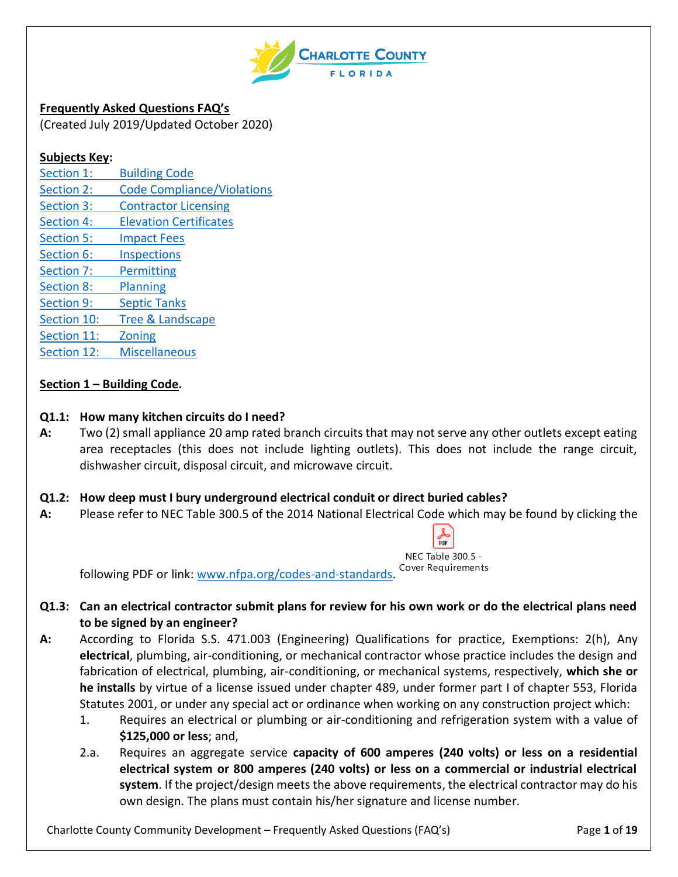

**Frequently Asked Questions FAQ's** (Created July 2019/Updated October 2020)

### **Subjects Key:**

Section 1: [Building Code](#page-0-0) Section 2: [Code Compliance/Violations](#page-1-0) Section 3: [Contractor Licensing](#page-5-0) Section 4: [Elevation Certificates](#page-6-0) Section 5: [Impact Fees](#page-7-0) Section 6: [Inspections](#page-7-1) Section 7: [Permitting](#page-9-0) [Section 8:](#page-14-0) Planning Section 9: [Septic Tanks](#page-15-0) [Section 10:](#page-15-1) Tree & Landscape [Section 11:](#page-16-0) Zoning Section 12: [Miscellaneous](#page-17-0)

# <span id="page-0-0"></span>**Section 1 – Building Code.**

### **Q1.1: How many kitchen circuits do I need?**

**A:** Two (2) small appliance 20 amp rated branch circuits that may not serve any other outlets except eating area receptacles (this does not include lighting outlets). This does not include the range circuit, dishwasher circuit, disposal circuit, and microwave circuit.

### **Q1.2: How deep must I bury underground electrical conduit or direct buried cables?**

**A:** Please refer to NEC Table 300.5 of the 2014 National Electrical Code which may be found by clicking the



following PDF or link: [www.nfpa.org/codes-and-standards.](http://www.nfpa.org/codes-and-standards)

- **Q1.3: Can an electrical contractor submit plans for review for his own work or do the electrical plans need to be signed by an engineer?**
- **A:** According to Florida S.S. 471.003 (Engineering) Qualifications for practice, Exemptions: 2(h), Any **electrical**, plumbing, air-conditioning, or mechanical contractor whose practice includes the design and fabrication of electrical, plumbing, air-conditioning, or mechanical systems, respectively, **which she or he installs** by virtue of a license issued under chapter 489, under former part I of chapter 553, Florida Statutes 2001, or under any special act or ordinance when working on any construction project which:
	- 1. Requires an electrical or plumbing or air-conditioning and refrigeration system with a value of **\$125,000 or less**; and,
	- 2.a. Requires an aggregate service **capacity of 600 amperes (240 volts) or less on a residential electrical system or 800 amperes (240 volts) or less on a commercial or industrial electrical system**. If the project/design meets the above requirements, the electrical contractor may do his own design. The plans must contain his/her signature and license number.

Charlotte County Community Development – Frequently Asked Questions (FAQ's) Page **1** of **19**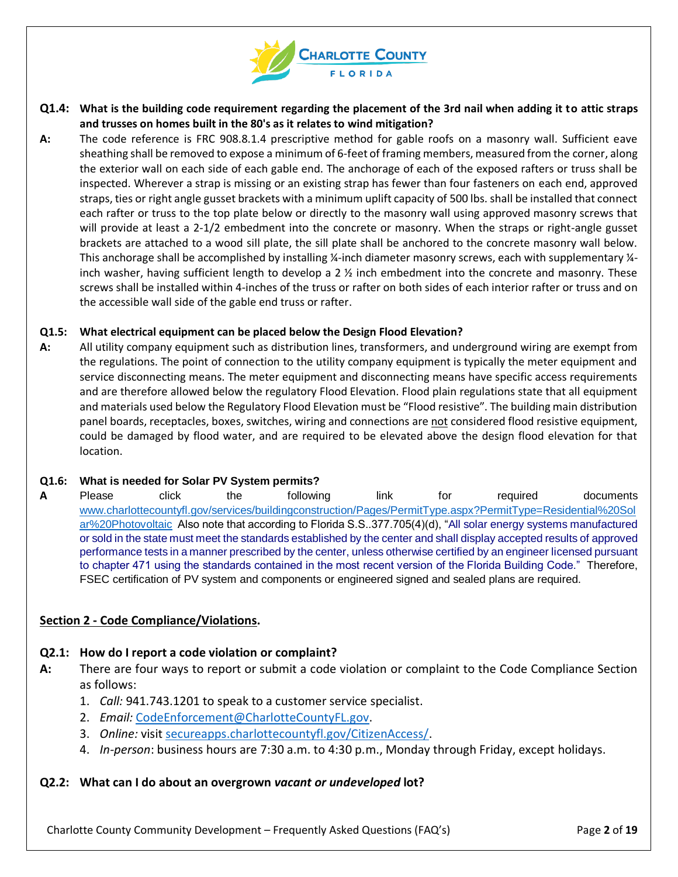

- **Q1.4: What is the building code requirement regarding the placement of the 3rd nail when adding it to attic straps and trusses on homes built in the 80's as it relates to wind mitigation?**
- **A:** The code reference is FRC 908.8.1.4 prescriptive method for gable roofs on a masonry wall. Sufficient eave sheathing shall be removed to expose a minimum of 6-feet of framing members, measured from the corner, along the exterior wall on each side of each gable end. The anchorage of each of the exposed rafters or truss shall be inspected. Wherever a strap is missing or an existing strap has fewer than four fasteners on each end, approved straps, ties or right angle gusset brackets with a minimum uplift capacity of 500 lbs. shall be installed that connect each rafter or truss to the top plate below or directly to the masonry wall using approved masonry screws that will provide at least a 2-1/2 embedment into the concrete or masonry. When the straps or right-angle gusset brackets are attached to a wood sill plate, the sill plate shall be anchored to the concrete masonry wall below. This anchorage shall be accomplished by installing ¼-inch diameter masonry screws, each with supplementary ¼inch washer, having sufficient length to develop a 2 ½ inch embedment into the concrete and masonry. These screws shall be installed within 4-inches of the truss or rafter on both sides of each interior rafter or truss and on the accessible wall side of the gable end truss or rafter.

#### **Q1.5: What electrical equipment can be placed below the Design Flood Elevation?**

**A:** All utility company equipment such as distribution lines, transformers, and underground wiring are exempt from the regulations. The point of connection to the utility company equipment is typically the meter equipment and service disconnecting means. The meter equipment and disconnecting means have specific access requirements and are therefore allowed below the regulatory Flood Elevation. Flood plain regulations state that all equipment and materials used below the Regulatory Flood Elevation must be "Flood resistive". The building main distribution panel boards, receptacles, boxes, switches, wiring and connections are not considered flood resistive equipment, could be damaged by flood water, and are required to be elevated above the design flood elevation for that location.

#### **Q1.6: What is needed for Solar PV System permits?**

A Please click the following link for required documents [www.charlottecountyfl.gov/services/buildingconstruction/Pages/PermitType.aspx?PermitType=Residential%20Sol](http://www.charlottecountyfl.gov/services/buildingconstruction/Pages/PermitType.aspx?PermitType=Residential%20Solar%20Photovoltaic) [ar%20Photovoltaic](http://www.charlottecountyfl.gov/services/buildingconstruction/Pages/PermitType.aspx?PermitType=Residential%20Solar%20Photovoltaic) Also note that according to Florida S.S..377.705(4)(d), "All solar energy systems manufactured or sold in the state must meet the standards established by the center and shall display accepted results of approved performance tests in a manner prescribed by the center, unless otherwise certified by an engineer licensed pursuant to chapter 471 using the standards contained in the most recent version of the Florida Building Code." Therefore, FSEC certification of PV system and components or engineered signed and sealed plans are required.

#### <span id="page-1-0"></span>**Section 2 - Code Compliance/Violations.**

#### **Q2.1: How do I report a code violation or complaint?**

- **A:** There are four ways to report or submit a code violation or complaint to the Code Compliance Section as follows:
	- 1. *Call:* 941.743.1201 to speak to a customer service specialist.
	- 2. *Email:* [CodeEnforcement@CharlotteCountyFL.gov.](mailto:CodeEnforcement@CharlotteCountyFL.gov)
	- 3. *Online:* visit [secureapps.charlottecountyfl.gov/CitizenAccess/.](https://secureapps.charlottecountyfl.gov/CitizenAccess/)
	- 4. *In-person*: business hours are 7:30 a.m. to 4:30 p.m., Monday through Friday, except holidays.

#### **Q2.2: What can I do about an overgrown** *vacant or undeveloped* **lot?**

Charlotte County Community Development – Frequently Asked Questions (FAQ's) Page **2** of **19**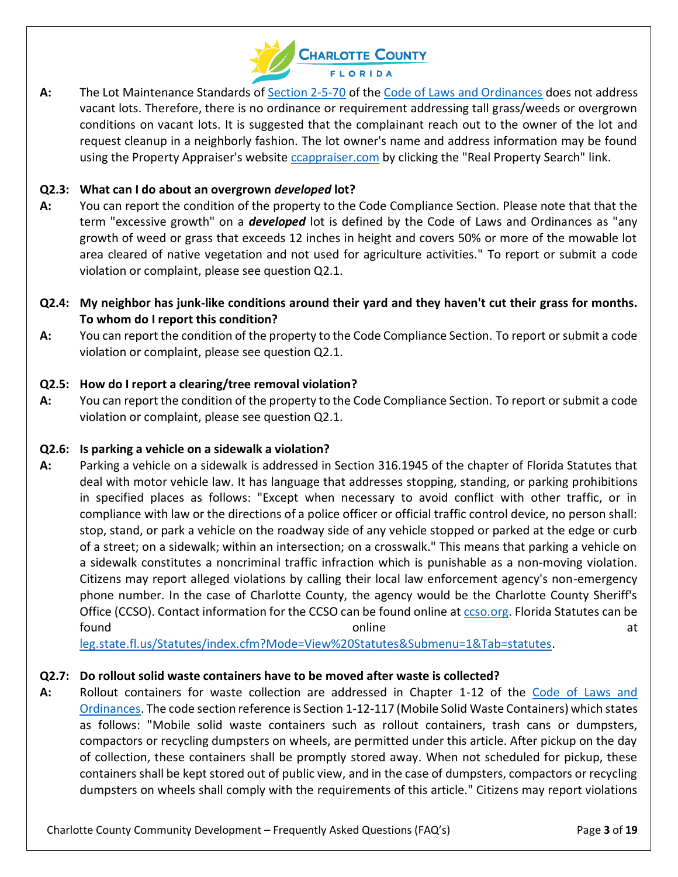

**A:** The Lot Maintenance Standards of [Section 2-5-70](https://library.municode.com/fl/charlotte_county/codes/code_of_ordinances?nodeId=PTIIPUSAHE_CH2-5OFIS_ARTIIIWEOTNOGR_DIV3LOMO_S2-5-70TI) of th[e Code of Laws and Ordinances](https://library.municode.com/fl/charlotte_county/codes/code_of_ordinances) does not address vacant lots. Therefore, there is no ordinance or requirement addressing tall grass/weeds or overgrown conditions on vacant lots. It is suggested that the complainant reach out to the owner of the lot and request cleanup in a neighborly fashion. The lot owner's name and address information may be found using the Property Appraiser's website [ccappraiser.com](http://www.ccappraiser.com/) by clicking the "Real Property Search" link.

# **Q2.3: What can I do about an overgrown** *developed* **lot?**

- **A:** You can report the condition of the property to the Code Compliance Section. Please note that that the term "excessive growth" on a *developed* lot is defined by the Code of Laws and Ordinances as "any growth of weed or grass that exceeds 12 inches in height and covers 50% or more of the mowable lot area cleared of native vegetation and not used for agriculture activities." To report or submit a code violation or complaint, please see question Q2.1.
- **Q2.4: My neighbor has junk-like conditions around their yard and they haven't cut their grass for months. To whom do I report this condition?**
- **A:** You can report the condition of the property to the Code Compliance Section. To report or submit a code violation or complaint, please see question Q2.1.

# **Q2.5: How do I report a clearing/tree removal violation?**

**A:** You can report the condition of the property to the Code Compliance Section. To report or submit a code violation or complaint, please see question Q2.1.

### **Q2.6: Is parking a vehicle on a sidewalk a violation?**

**A:** Parking a vehicle on a sidewalk is addressed in Section 316.1945 of the chapter of Florida Statutes that deal with motor vehicle law. It has language that addresses stopping, standing, or parking prohibitions in specified places as follows: "Except when necessary to avoid conflict with other traffic, or in compliance with law or the directions of a police officer or official traffic control device, no person shall: stop, stand, or park a vehicle on the roadway side of any vehicle stopped or parked at the edge or curb of a street; on a sidewalk; within an intersection; on a crosswalk." This means that parking a vehicle on a sidewalk constitutes a noncriminal traffic infraction which is punishable as a non-moving violation. Citizens may report alleged violations by calling their local law enforcement agency's non-emergency phone number. In the case of Charlotte County, the agency would be the Charlotte County Sheriff's Office (CCSO). Contact information for the CCSO can be found online at [ccso.org.](http://www.ccso.org/) Florida Statutes can be found at the contract online at the contract online at the contract of  $\alpha$  at  $\alpha$ 

[leg.state.fl.us/Statutes/index.cfm?Mode=View%20Statutes&Submenu=1&Tab=statutes.](http://www.leg.state.fl.us/Statutes/index.cfm?Mode=View%20Statutes&Submenu=1&Tab=statutes)

# **Q2.7: Do rollout solid waste containers have to be moved after waste is collected?**

**A:** Rollout containers for waste collection are addressed in Chapter 1-12 of the [Code of Laws and](https://library.municode.com/fl/charlotte_county/codes/code_of_ordinances)  [Ordinances.](https://library.municode.com/fl/charlotte_county/codes/code_of_ordinances) The code section reference is Section 1-12-117 (Mobile Solid Waste Containers) which states as follows: "Mobile solid waste containers such as rollout containers, trash cans or dumpsters, compactors or recycling dumpsters on wheels, are permitted under this article. After pickup on the day of collection, these containers shall be promptly stored away. When not scheduled for pickup, these containers shall be kept stored out of public view, and in the case of dumpsters, compactors or recycling dumpsters on wheels shall comply with the requirements of this article." Citizens may report violations

Charlotte County Community Development – Frequently Asked Questions (FAQ's) Page **3** of **19**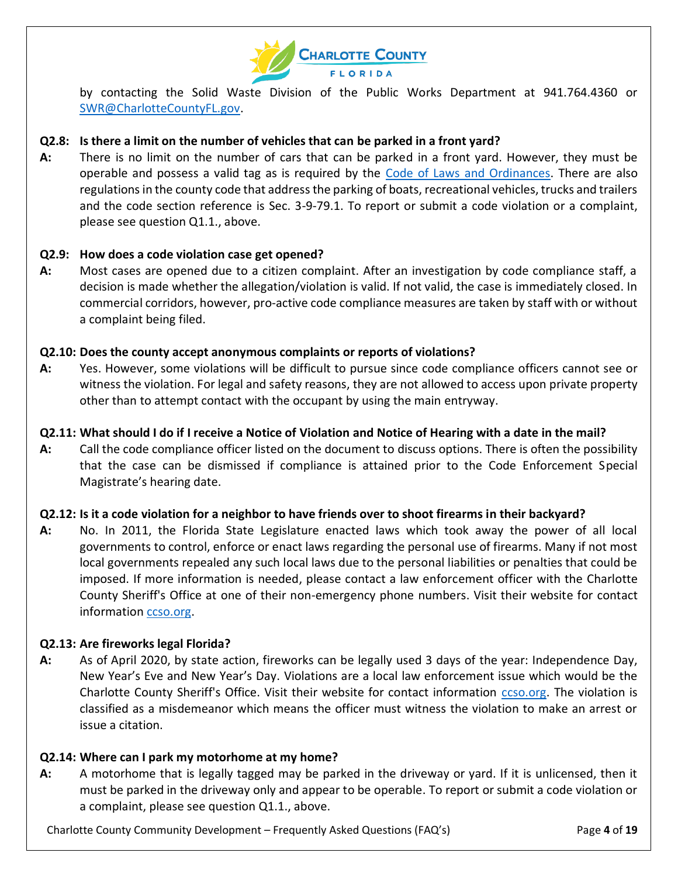

by contacting the Solid Waste Division of the Public Works Department at 941.764.4360 or [SWR@CharlotteCountyFL.gov.](mailto:SWR@CharlotteCountyFL.gov)

### **Q2.8: Is there a limit on the number of vehicles that can be parked in a front yard?**

**A:** There is no limit on the number of cars that can be parked in a front yard. However, they must be operable and possess a valid tag as is required by the [Code of Laws and Ordinances.](https://library.municode.com/fl/charlotte_county/codes/code_of_ordinances) There are also regulations in the county code that address the parking of boats, recreational vehicles, trucks and trailers and the code section reference is Sec. 3-9-79.1. To report or submit a code violation or a complaint, please see question Q1.1., above.

### **Q2.9: How does a code violation case get opened?**

**A:** Most cases are opened due to a citizen complaint. After an investigation by code compliance staff, a decision is made whether the allegation/violation is valid. If not valid, the case is immediately closed. In commercial corridors, however, pro-active code compliance measures are taken by staff with or without a complaint being filed.

#### **Q2.10: Does the county accept anonymous complaints or reports of violations?**

**A:** Yes. However, some violations will be difficult to pursue since code compliance officers cannot see or witness the violation. For legal and safety reasons, they are not allowed to access upon private property other than to attempt contact with the occupant by using the main entryway.

#### **Q2.11: What should I do if I receive a Notice of Violation and Notice of Hearing with a date in the mail?**

**A:** Call the code compliance officer listed on the document to discuss options. There is often the possibility that the case can be dismissed if compliance is attained prior to the Code Enforcement Special Magistrate's hearing date.

### **Q2.12: Is it a code violation for a neighbor to have friends over to shoot firearms in their backyard?**

**A:** No. In 2011, the Florida State Legislature enacted laws which took away the power of all local governments to control, enforce or enact laws regarding the personal use of firearms. Many if not most local governments repealed any such local laws due to the personal liabilities or penalties that could be imposed. If more information is needed, please contact a law enforcement officer with the Charlotte County Sheriff's Office at one of their non-emergency phone numbers. Visit their website for contact information [ccso.org.](http://www.ccso.org/)

### **Q2.13: Are fireworks legal Florida?**

**A:** As of April 2020, by state action, fireworks can be legally used 3 days of the year: Independence Day, New Year's Eve and New Year's Day. Violations are a local law enforcement issue which would be the Charlotte County Sheriff's Office. Visit their website for contact information [ccso.org.](http://www.ccso.org/) The violation is classified as a misdemeanor which means the officer must witness the violation to make an arrest or issue a citation.

### **Q2.14: Where can I park my motorhome at my home?**

**A:** A motorhome that is legally tagged may be parked in the driveway or yard. If it is unlicensed, then it must be parked in the driveway only and appear to be operable. To report or submit a code violation or a complaint, please see question Q1.1., above.

Charlotte County Community Development – Frequently Asked Questions (FAQ's) Page **4** of **19**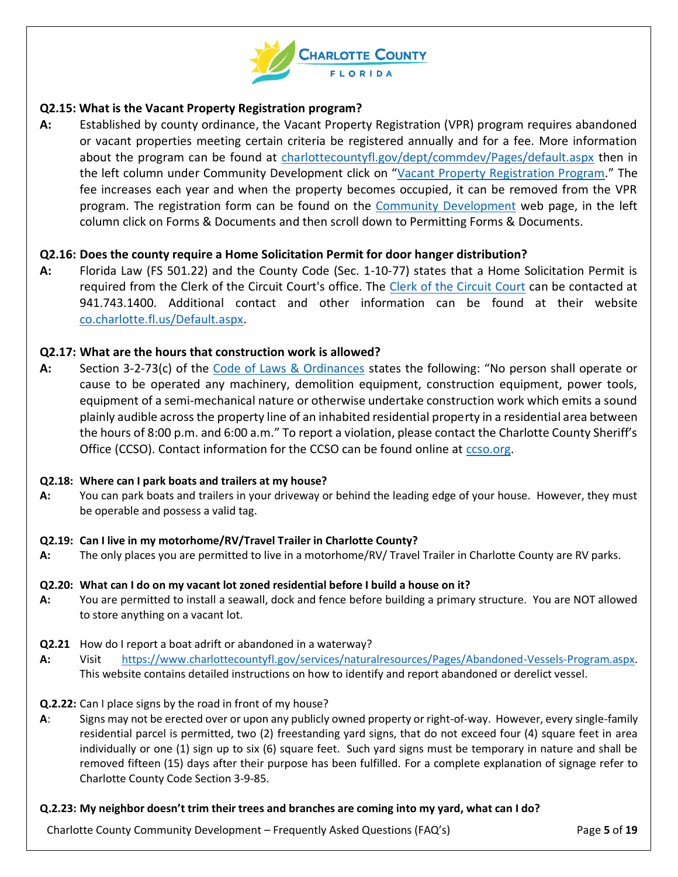

### **Q2.15: What is the Vacant Property Registration program?**

**A:** Established by county ordinance, the Vacant Property Registration (VPR) program requires abandoned or vacant properties meeting certain criteria be registered annually and for a fee. More information about the program can be found at [charlottecountyfl.gov/dept/commdev/Pages/default.aspx](http://www.charlottecountyfl.gov/dept/commdev/Pages/default.aspx) then in the left column under Community Development click on "[Vacant Property Registration Program](https://www.charlottecountyfl.gov/services/buildingconstruction/Pages/Vacant-Property-Program.aspx)." The fee increases each year and when the property becomes occupied, it can be removed from the VPR program. The registration form can be found on the [Community Development](https://www.charlottecountyfl.gov/dept/commdev/Pages/default.aspx) web page, in the left column click on Forms & Documents and then scroll down to Permitting Forms & Documents.

### **Q2.16: Does the county require a Home Solicitation Permit for door hanger distribution?**

**A:** Florida Law (FS 501.22) and the County Code (Sec. 1-10-77) states that a Home Solicitation Permit is required from the Clerk of the Circuit Court's office. The [Clerk of the Circuit Court](http://www.co.charlotte.fl.us/Default.aspx) can be contacted at 941.743.1400. Additional contact and other information can be found at their website [co.charlotte.fl.us/Default.aspx.](http://www.co.charlotte.fl.us/Default.aspx)

#### **Q2.17: What are the hours that construction work is allowed?**

**A:** Section 3-2-73(c) of the [Code of Laws & Ordinances](https://library.municode.com/fl/charlotte_county/codes/code_of_ordinances) states the following: "No person shall operate or cause to be operated any machinery, demolition equipment, construction equipment, power tools, equipment of a semi-mechanical nature or otherwise undertake construction work which emits a sound plainly audible across the property line of an inhabited residential property in a residential area between the hours of 8:00 p.m. and 6:00 a.m." To report a violation, please contact the Charlotte County Sheriff's Office (CCSO). Contact information for the CCSO can be found online at [ccso.org.](http://www.ccso.org/)

#### **Q2.18: Where can I park boats and trailers at my house?**

**A:** You can park boats and trailers in your driveway or behind the leading edge of your house. However, they must be operable and possess a valid tag.

#### **Q2.19: Can I live in my motorhome/RV/Travel Trailer in Charlotte County?**

**A:** The only places you are permitted to live in a motorhome/RV/ Travel Trailer in Charlotte County are RV parks.

#### **Q2.20: What can I do on my vacant lot zoned residential before I build a house on it?**

- **A:** You are permitted to install a seawall, dock and fence before building a primary structure. You are NOT allowed to store anything on a vacant lot.
- **Q2.21** How do I report a boat adrift or abandoned in a waterway?
- **A:** Visit [https://www.charlottecountyfl.gov/services/naturalresources/Pages/Abandoned-Vessels-Program.aspx.](https://www.charlottecountyfl.gov/services/naturalresources/Pages/Abandoned-Vessels-Program.aspx) This website contains detailed instructions on how to identify and report abandoned or derelict vessel.

#### **Q.2.22:** Can I place signs by the road in front of my house?

**A**: Signs may not be erected over or upon any publicly owned property or right-of-way. However, every single-family residential parcel is permitted, two (2) freestanding yard signs, that do not exceed four (4) square feet in area individually or one (1) sign up to six (6) square feet. Such yard signs must be temporary in nature and shall be removed fifteen (15) days after their purpose has been fulfilled. For a complete explanation of signage refer to Charlotte County Code Section 3-9-85.

#### **Q.2.23: My neighbor doesn't trim their trees and branches are coming into my yard, what can I do?**

Charlotte County Community Development – Frequently Asked Questions (FAQ's) Page **5** of **19**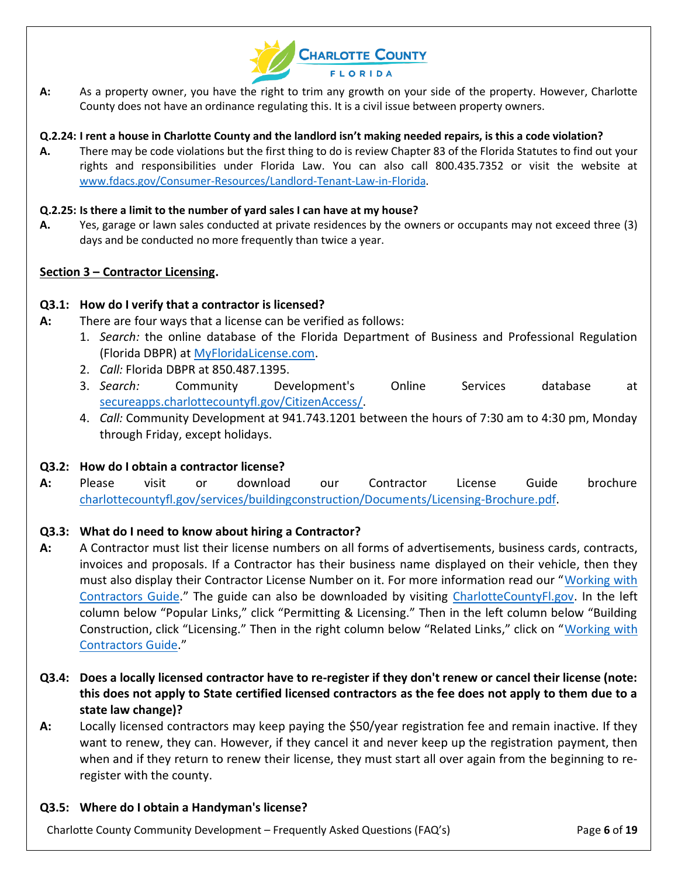

**A:** As a property owner, you have the right to trim any growth on your side of the property. However, Charlotte County does not have an ordinance regulating this. It is a civil issue between property owners.

#### **Q.2.24: I rent a house in Charlotte County and the landlord isn't making needed repairs, is this a code violation?**

**A.** There may be code violations but the first thing to do is review Chapter 83 of the Florida Statutes to find out your rights and responsibilities under Florida Law. You can also call 800.435.7352 or visit the website at [www.fdacs.gov/Consumer-Resources/Landlord-Tenant-Law-in-Florida.](http://www.fdacs.gov/Consumer-Resources/Landlord-Tenant-Law-in-Florida)

#### **Q.2.25: Is there a limit to the number of yard sales I can have at my house?**

**A.** Yes, garage or lawn sales conducted at private residences by the owners or occupants may not exceed three (3) days and be conducted no more frequently than twice a year.

#### <span id="page-5-0"></span>**Section 3 – Contractor Licensing.**

#### **Q3.1: How do I verify that a contractor is licensed?**

- **A:** There are four ways that a license can be verified as follows:
	- 1. *Search:* the online database of the Florida Department of Business and Professional Regulation (Florida DBPR) at [MyFloridaLicense.com.](http://www.myfloridalicense.com/)
	- 2. *Call:* Florida DBPR at 850.487.1395.
	- 3. *Search:* Community Development's Online Services database at [secureapps.charlottecountyfl.gov/CitizenAccess/.](https://secureapps.charlottecountyfl.gov/CitizenAccess/)
	- 4. *Call:* Community Development at 941.743.1201 between the hours of 7:30 am to 4:30 pm, Monday through Friday, except holidays.

#### **Q3.2: How do I obtain a contractor license?**

**A:** Please visit or download our Contractor License Guide brochure [charlottecountyfl.gov/services/buildingconstruction/Documents/Licensing-Brochure.pdf.](http://www.charlottecountyfl.gov/services/buildingconstruction/Documents/Licensing-Brochure.pdf)

### **Q3.3: What do I need to know about hiring a Contractor?**

- **A:** A Contractor must list their license numbers on all forms of advertisements, business cards, contracts, invoices and proposals. If a Contractor has their business name displayed on their vehicle, then they must also display their Contractor License Number on it. For more information read our "[Working with](https://www.charlottecountyfl.gov/services/buildingconstruction/Pages/Working-with-Contractors.aspx)  [Contractors Guide](https://www.charlottecountyfl.gov/services/buildingconstruction/Pages/Working-with-Contractors.aspx)." The guide can also be downloaded by visiting [CharlotteCountyFl.gov.](http://www.charlottecountyfl.gov/) In the left column below "Popular Links," click "Permitting & Licensing." Then in the left column below "Building Construction, click "Licensing." Then in the right column below "Related Links," click on "[Working with](https://www.charlottecountyfl.gov/services/buildingconstruction/Pages/Working-with-Contractors.aspx)  [Contractors Guide](https://www.charlottecountyfl.gov/services/buildingconstruction/Pages/Working-with-Contractors.aspx)."
- **Q3.4: Does a locally licensed contractor have to re-register if they don't renew or cancel their license (note: this does not apply to State certified licensed contractors as the fee does not apply to them due to a state law change)?**
- **A:** Locally licensed contractors may keep paying the \$50/year registration fee and remain inactive. If they want to renew, they can. However, if they cancel it and never keep up the registration payment, then when and if they return to renew their license, they must start all over again from the beginning to reregister with the county.

#### **Q3.5: Where do I obtain a Handyman's license?**

Charlotte County Community Development – Frequently Asked Questions (FAQ's) Page **6** of **19**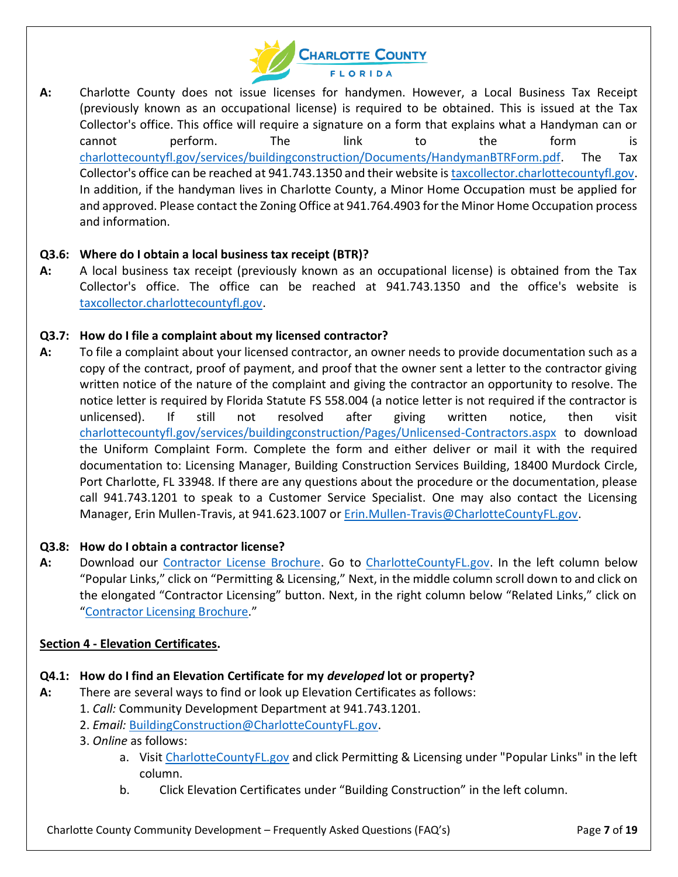

**A:** Charlotte County does not issue licenses for handymen. However, a Local Business Tax Receipt (previously known as an occupational license) is required to be obtained. This is issued at the Tax Collector's office. This office will require a signature on a form that explains what a Handyman can or cannot perform. The link to the form is [charlottecountyfl.gov/services/buildingconstruction/Documents/HandymanBTRForm.pdf.](https://www.charlottecountyfl.gov/services/buildingconstruction/Documents/HandymanBTRForm.pdf) The Tax Collector's office can be reached at 941.743.1350 and their website is [taxcollector.charlottecountyfl.gov.](http://taxcollector.charlottecountyfl.gov/) In addition, if the handyman lives in Charlotte County, a Minor Home Occupation must be applied for and approved. Please contact the Zoning Office at 941.764.4903 for the Minor Home Occupation process and information.

### **Q3.6: Where do I obtain a local business tax receipt (BTR)?**

**A:** A local business tax receipt (previously known as an occupational license) is obtained from the Tax Collector's office. The office can be reached at 941.743.1350 and the office's website is [taxcollector.charlottecountyfl.gov.](http://taxcollector.charlottecountyfl.gov/)

### **Q3.7: How do I file a complaint about my licensed contractor?**

**A:** To file a complaint about your licensed contractor, an owner needs to provide documentation such as a copy of the contract, proof of payment, and proof that the owner sent a letter to the contractor giving written notice of the nature of the complaint and giving the contractor an opportunity to resolve. The notice letter is required by Florida Statute FS 558.004 (a notice letter is not required if the contractor is unlicensed). If still not resolved after giving written notice, then visit [charlottecountyfl.gov/services/buildingconstruction/Pages/Unlicensed-Contractors.aspx](http://www.charlottecountyfl.gov/services/buildingconstruction/Pages/Unlicensed-Contractors.aspx) to download the Uniform Complaint Form. Complete the form and either deliver or mail it with the required documentation to: Licensing Manager, Building Construction Services Building, 18400 Murdock Circle, Port Charlotte, FL 33948. If there are any questions about the procedure or the documentation, please call 941.743.1201 to speak to a Customer Service Specialist. One may also contact the Licensing Manager, Erin Mullen-Travis, at 941.623.1007 or [Erin.Mullen-Travis@CharlotteCountyFL.gov.](mailto:Erin.Mullen-Travis@CharlotteCountyFL.gov)

### **Q3.8: How do I obtain a contractor license?**

**A:** Download our [Contractor License Brochure.](https://www.charlottecountyfl.gov/services/buildingconstruction/Documents/Licensing-Brochure.pdf) Go to [CharlotteCountyFL.gov.](http://www.charlottecountyfl.gov/) In the left column below "Popular Links," click on "Permitting & Licensing," Next, in the middle column scroll down to and click on the elongated "Contractor Licensing" button. Next, in the right column below "Related Links," click on "[Contractor Licensing Brochure](https://www.charlottecountyfl.gov/services/buildingconstruction/Documents/Licensing-Brochure.pdf)."

### <span id="page-6-0"></span>**Section 4 - Elevation Certificates.**

### **Q4.1: How do I find an Elevation Certificate for my** *developed* **lot or property?**

- **A:** There are several ways to find or look up Elevation Certificates as follows:
	- 1. *Call:* Community Development Department at 941.743.1201.
	- 2. *Email:* [BuildingConstruction@CharlotteCountyFL.gov.](mailto:BuildingConstruction@CharlotteCountyFL.gov)
	- 3. *Online* as follows:
		- a. Visit [CharlotteCountyFL.gov](http://www.charlottecountyfl.gov/) and click Permitting & Licensing under "Popular Links" in the left column.
		- b. Click Elevation Certificates under "Building Construction" in the left column.

Charlotte County Community Development – Frequently Asked Questions (FAQ's) Page **7** of **19**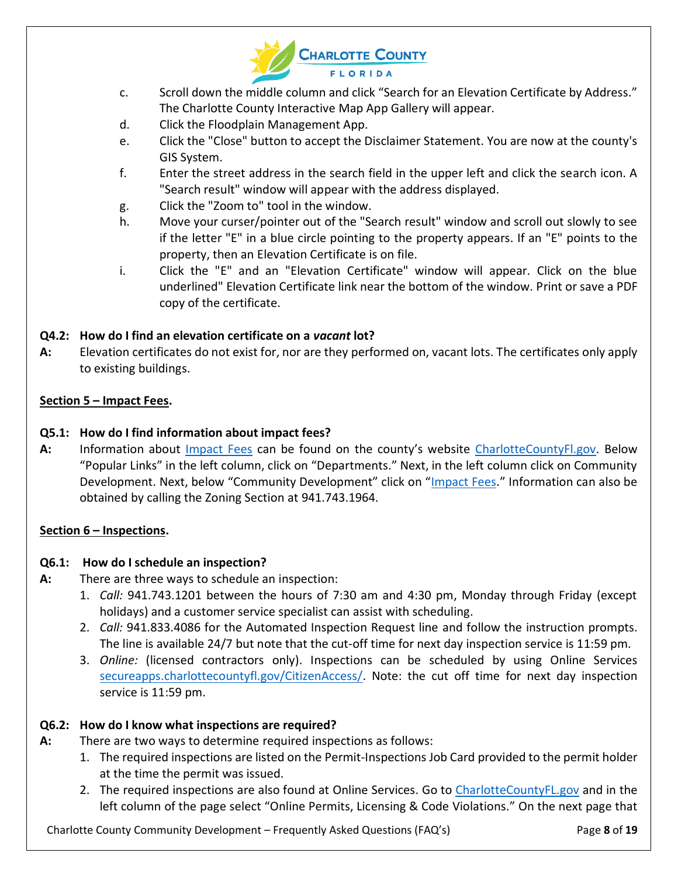

- c. Scroll down the middle column and click "Search for an Elevation Certificate by Address." The Charlotte County Interactive Map App Gallery will appear.
- d. Click the Floodplain Management App.
- e. Click the "Close" button to accept the Disclaimer Statement. You are now at the county's GIS System.
- f. Enter the street address in the search field in the upper left and click the search icon. A "Search result" window will appear with the address displayed.
- g. Click the "Zoom to" tool in the window.
- h. Move your curser/pointer out of the "Search result" window and scroll out slowly to see if the letter "E" in a blue circle pointing to the property appears. If an "E" points to the property, then an Elevation Certificate is on file.
- i. Click the "E" and an "Elevation Certificate" window will appear. Click on the blue underlined" Elevation Certificate link near the bottom of the window. Print or save a PDF copy of the certificate.

# **Q4.2: How do I find an elevation certificate on a** *vacant* **lot?**

**A:** Elevation certificates do not exist for, nor are they performed on, vacant lots. The certificates only apply to existing buildings.

### <span id="page-7-0"></span>**Section 5 – Impact Fees.**

# **Q5.1: How do I find information about impact fees?**

**A:** Information about [Impact Fees](http://www.charlottecountyfl.gov/services/planningzoning/Pages/Impact-Fees.aspx) can be found on the county's website [CharlotteCountyFl.gov.](http://www.charlottecountyfl.gov/) Below "Popular Links" in the left column, click on "Departments." Next, in the left column click on Community Development. Next, below "Community Development" click on "[Impact Fees](http://www.charlottecountyfl.gov/services/planningzoning/Pages/Impact-Fees.aspx)." Information can also be obtained by calling the Zoning Section at 941.743.1964.

# <span id="page-7-1"></span>**Section 6 – Inspections.**

# **Q6.1: How do I schedule an inspection?**

- **A:** There are three ways to schedule an inspection:
	- 1. *Call:* 941.743.1201 between the hours of 7:30 am and 4:30 pm, Monday through Friday (except holidays) and a customer service specialist can assist with scheduling.
	- 2. *Call:* 941.833.4086 for the Automated Inspection Request line and follow the instruction prompts. The line is available 24/7 but note that the cut-off time for next day inspection service is 11:59 pm.
	- 3. *Online:* (licensed contractors only). Inspections can be scheduled by using Online Services [secureapps.charlottecountyfl.gov/CitizenAccess/.](https://secureapps.charlottecountyfl.gov/CitizenAccess/) Note: the cut off time for next day inspection service is 11:59 pm.

# **Q6.2: How do I know what inspections are required?**

- **A:** There are two ways to determine required inspections as follows:
	- 1. The required inspections are listed on the Permit-Inspections Job Card provided to the permit holder at the time the permit was issued.
	- 2. The required inspections are also found at Online Services. Go to [CharlotteCountyFL.gov](http://www.charlottecountyfl.gov/) and in the left column of the page select "Online Permits, Licensing & Code Violations." On the next page that

Charlotte County Community Development – Frequently Asked Questions (FAQ's) Page **8** of **19**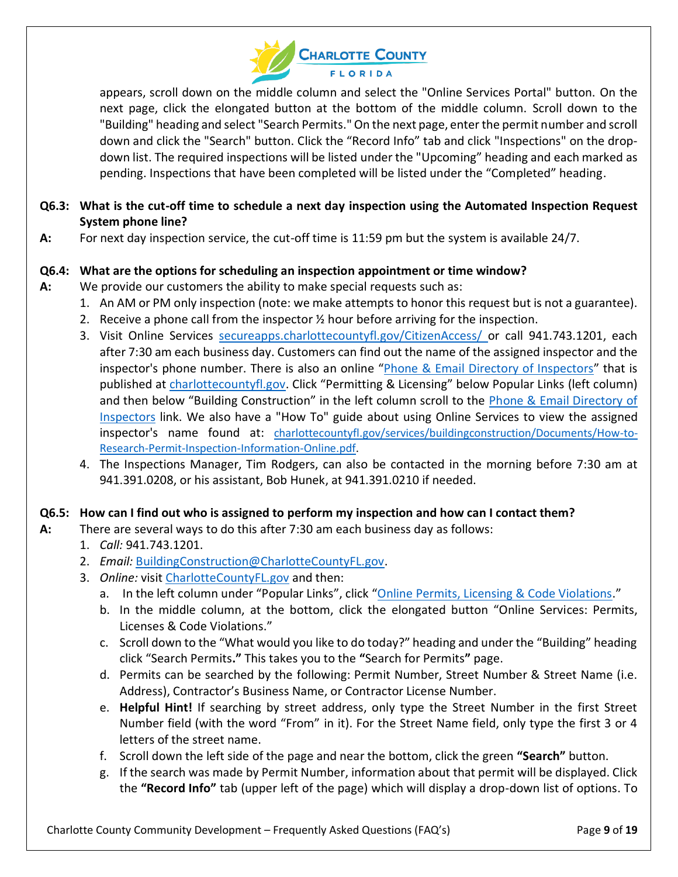

appears, scroll down on the middle column and select the "Online Services Portal" button. On the next page, click the elongated button at the bottom of the middle column. Scroll down to the "Building" heading and select "Search Permits." On the next page, enter the permit number and scroll down and click the "Search" button. Click the "Record Info" tab and click "Inspections" on the dropdown list. The required inspections will be listed under the "Upcoming" heading and each marked as pending. Inspections that have been completed will be listed under the "Completed" heading.

# **Q6.3: What is the cut-off time to schedule a next day inspection using the Automated Inspection Request System phone line?**

**A:** For next day inspection service, the cut-off time is 11:59 pm but the system is available 24/7.

# **Q6.4: What are the options for scheduling an inspection appointment or time window?**

- **A:** We provide our customers the ability to make special requests such as:
	- 1. An AM or PM only inspection (note: we make attempts to honor this request but is not a guarantee).
	- 2. Receive a phone call from the inspector  $\frac{1}{2}$  hour before arriving for the inspection.
	- 3. Visit Online Services [secureapps.charlottecountyfl.gov/CitizenAccess/](https://secureapps.charlottecountyfl.gov/CitizenAccess/) or call 941.743.1201, each after 7:30 am each business day. Customers can find out the name of the assigned inspector and the inspector's phone number. There is also an online "Phone & [Email Directory](https://www.charlottecountyfl.gov/services/buildingconstruction/Documents/Inspector-Contact-Information.pdf) of Inspectors" that is published at [charlottecountyfl.gov.](http://www.charlottecountyfl.gov/) Click "Permitting & Licensing" below Popular Links (left column) and then below "Building Construction" in the left column scroll to the [Phone & Email Directory of](https://www.charlottecountyfl.gov/services/buildingconstruction/Documents/Inspector-Contact-Information.pdf)  [Inspectors](https://www.charlottecountyfl.gov/services/buildingconstruction/Documents/Inspector-Contact-Information.pdf) link. We also have a "How To" guide about using Online Services to view the assigned inspector's name found at: [charlottecountyfl.gov/services/buildingconstruction/Documents/How-to-](http://www.charlottecountyfl.gov/services/buildingconstruction/Documents/How-to-Research-Permit-Inspection-Information-Online.pdf)[Research-Permit-Inspection-Information-Online.pdf.](http://www.charlottecountyfl.gov/services/buildingconstruction/Documents/How-to-Research-Permit-Inspection-Information-Online.pdf)
	- 4. The Inspections Manager, Tim Rodgers, can also be contacted in the morning before 7:30 am at 941.391.0208, or his assistant, Bob Hunek, at 941.391.0210 if needed.

### **Q6.5: How can I find out who is assigned to perform my inspection and how can I contact them?**

- **A:** There are several ways to do this after 7:30 am each business day as follows:
	- 1. *Call:* 941.743.1201.
	- 2. *Email:* [BuildingConstruction@CharlotteCountyFL.gov.](mailto:BuildingConstruction@CharlotteCountyFL.gov)
	- 3. *Online:* visit [CharlotteCountyFL.gov](http://www.charlottecountyfl.gov/) and then:
		- a. In the left column under "Popular Links", click "[Online Permits, Licensing & Code Violations.](https://secureapps.charlottecountyfl.gov/CitizenAccess/Default.aspx)"
		- b. In the middle column, at the bottom, click the elongated button "Online Services: Permits, Licenses & Code Violations."
		- c. Scroll down to the "What would you like to do today?" heading and under the "Building" heading click "Search Permits**."** This takes you to the **"**Search for Permits**"** page.
		- d. Permits can be searched by the following: Permit Number, Street Number & Street Name (i.e. Address), Contractor's Business Name, or Contractor License Number.
		- e. **Helpful Hint!** If searching by street address, only type the Street Number in the first Street Number field (with the word "From" in it). For the Street Name field, only type the first 3 or 4 letters of the street name.
		- f. Scroll down the left side of the page and near the bottom, click the green **"Search"** button.
		- g. If the search was made by Permit Number, information about that permit will be displayed. Click the **"Record Info"** tab (upper left of the page) which will display a drop-down list of options. To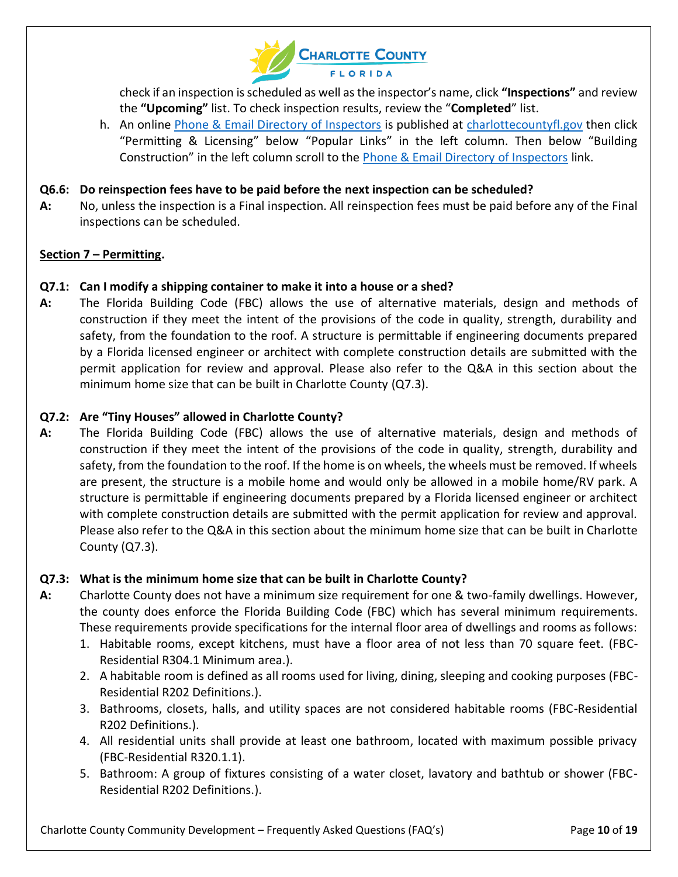

check if an inspection is scheduled as well as the inspector's name, click **"Inspections"** and review the **"Upcoming"** list. To check inspection results, review the "**Completed**" list.

h. An online [Phone & Email Directory](https://www.charlottecountyfl.gov/services/buildingconstruction/Documents/Inspector-Contact-Information.pdf) of Inspectors is published at [charlottecountyfl.gov](http://www.charlottecountyfl.gov/) then click "Permitting & Licensing" below "Popular Links" in the left column. Then below "Building Construction" in the left column scroll to the [Phone & Email Directory of Inspectors](https://www.charlottecountyfl.gov/services/buildingconstruction/Documents/Inspector-Contact-Information.pdf) link.

### **Q6.6: Do reinspection fees have to be paid before the next inspection can be scheduled?**

**A:** No, unless the inspection is a Final inspection. All reinspection fees must be paid before any of the Final inspections can be scheduled.

#### <span id="page-9-0"></span>**Section 7 – Permitting.**

### **Q7.1: Can I modify a shipping container to make it into a house or a shed?**

**A:** The Florida Building Code (FBC) allows the use of alternative materials, design and methods of construction if they meet the intent of the provisions of the code in quality, strength, durability and safety, from the foundation to the roof. A structure is permittable if engineering documents prepared by a Florida licensed engineer or architect with complete construction details are submitted with the permit application for review and approval. Please also refer to the Q&A in this section about the minimum home size that can be built in Charlotte County (Q7.3).

### **Q7.2: Are "Tiny Houses" allowed in Charlotte County?**

**A:** The Florida Building Code (FBC) allows the use of alternative materials, design and methods of construction if they meet the intent of the provisions of the code in quality, strength, durability and safety, from the foundation to the roof. If the home is on wheels, the wheels must be removed. If wheels are present, the structure is a mobile home and would only be allowed in a mobile home/RV park. A structure is permittable if engineering documents prepared by a Florida licensed engineer or architect with complete construction details are submitted with the permit application for review and approval. Please also refer to the Q&A in this section about the minimum home size that can be built in Charlotte County (Q7.3).

### **Q7.3: What is the minimum home size that can be built in Charlotte County?**

- **A:** Charlotte County does not have a minimum size requirement for one & two-family dwellings. However, the county does enforce the Florida Building Code (FBC) which has several minimum requirements. These requirements provide specifications for the internal floor area of dwellings and rooms as follows:
	- 1. Habitable rooms, except kitchens, must have a floor area of not less than 70 square feet. (FBC-Residential R304.1 Minimum area.).
	- 2. A habitable room is defined as all rooms used for living, dining, sleeping and cooking purposes (FBC-Residential R202 Definitions.).
	- 3. Bathrooms, closets, halls, and utility spaces are not considered habitable rooms (FBC-Residential R202 Definitions.).
	- 4. All residential units shall provide at least one bathroom, located with maximum possible privacy (FBC-Residential R320.1.1).
	- 5. Bathroom: A group of fixtures consisting of a water closet, lavatory and bathtub or shower (FBC-Residential R202 Definitions.).

Charlotte County Community Development – Frequently Asked Questions (FAQ's) Page **10** of **19**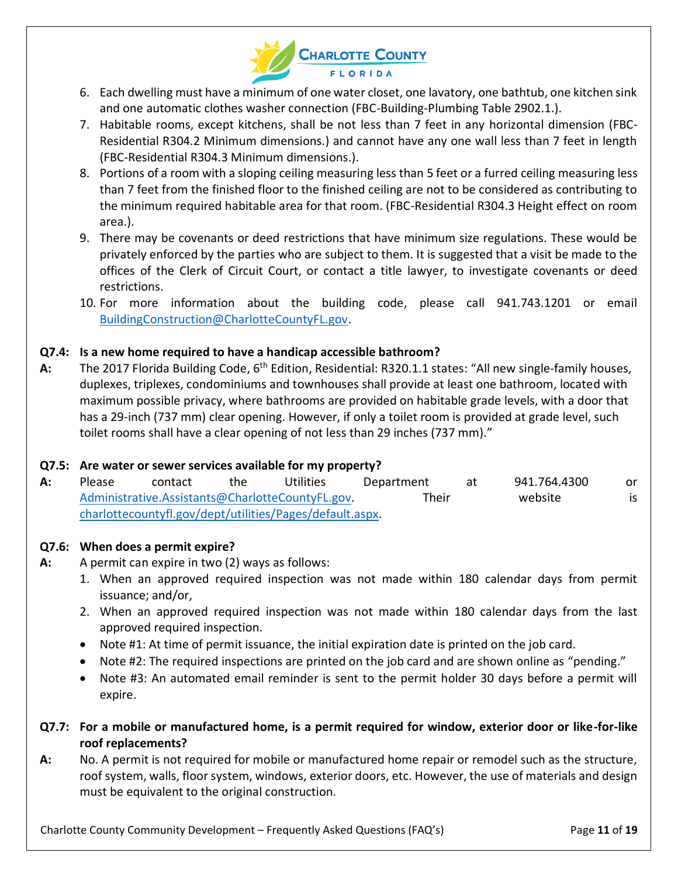

- 6. Each dwelling must have a minimum of one water closet, one lavatory, one bathtub, one kitchen sink and one automatic clothes washer connection (FBC-Building-Plumbing Table 2902.1.).
- 7. Habitable rooms, except kitchens, shall be not less than 7 feet in any horizontal dimension (FBC-Residential R304.2 Minimum dimensions.) and cannot have any one wall less than 7 feet in length (FBC-Residential R304.3 Minimum dimensions.).
- 8. Portions of a room with a sloping ceiling measuring less than 5 feet or a furred ceiling measuring less than 7 feet from the finished floor to the finished ceiling are not to be considered as contributing to the minimum required habitable area for that room. (FBC-Residential R304.3 Height effect on room area.).
- 9. There may be covenants or deed restrictions that have minimum size regulations. These would be privately enforced by the parties who are subject to them. It is suggested that a visit be made to the offices of the Clerk of Circuit Court, or contact a title lawyer, to investigate covenants or deed restrictions.
- 10. For more information about the building code, please call 941.743.1201 or email [BuildingConstruction@CharlotteCountyFL.gov.](mailto:BuildingConstruction@CharlotteCountyFL.gov)

# **Q7.4: Is a new home required to have a handicap accessible bathroom?**

A: The 2017 Florida Building Code, 6<sup>th</sup> Edition, Residential: R320.1.1 states: "All new single-family houses, duplexes, triplexes, condominiums and townhouses shall provide at least one bathroom, located with maximum possible privacy, where bathrooms are provided on habitable grade levels, with a door that has a 29-inch (737 mm) clear opening. However, if only a toilet room is provided at grade level, such toilet rooms shall have a clear opening of not less than 29 inches (737 mm)."

### **Q7.5: Are water or sewer services available for my property?**

| A: | <b>Please</b>                                            | contact | the | Utilities | Department | at | 941.764.4300 | or. |
|----|----------------------------------------------------------|---------|-----|-----------|------------|----|--------------|-----|
|    | Administrative.Assistants@CharlotteCountyFL.gov.         |         |     |           | Their      |    | website      | is  |
|    | charlottecountyfl.gov/dept/utilities/Pages/default.aspx. |         |     |           |            |    |              |     |

# **Q7.6: When does a permit expire?**

- **A:** A permit can expire in two (2) ways as follows:
	- 1. When an approved required inspection was not made within 180 calendar days from permit issuance; and/or,
	- 2. When an approved required inspection was not made within 180 calendar days from the last approved required inspection.
	- Note #1: At time of permit issuance, the initial expiration date is printed on the job card.
	- Note #2: The required inspections are printed on the job card and are shown online as "pending."
	- Note #3: An automated email reminder is sent to the permit holder 30 days before a permit will expire.
- **Q7.7: For a mobile or manufactured home, is a permit required for window, exterior door or like-for-like roof replacements?**
- **A:** No. A permit is not required for mobile or manufactured home repair or remodel such as the structure, roof system, walls, floor system, windows, exterior doors, etc. However, the use of materials and design must be equivalent to the original construction.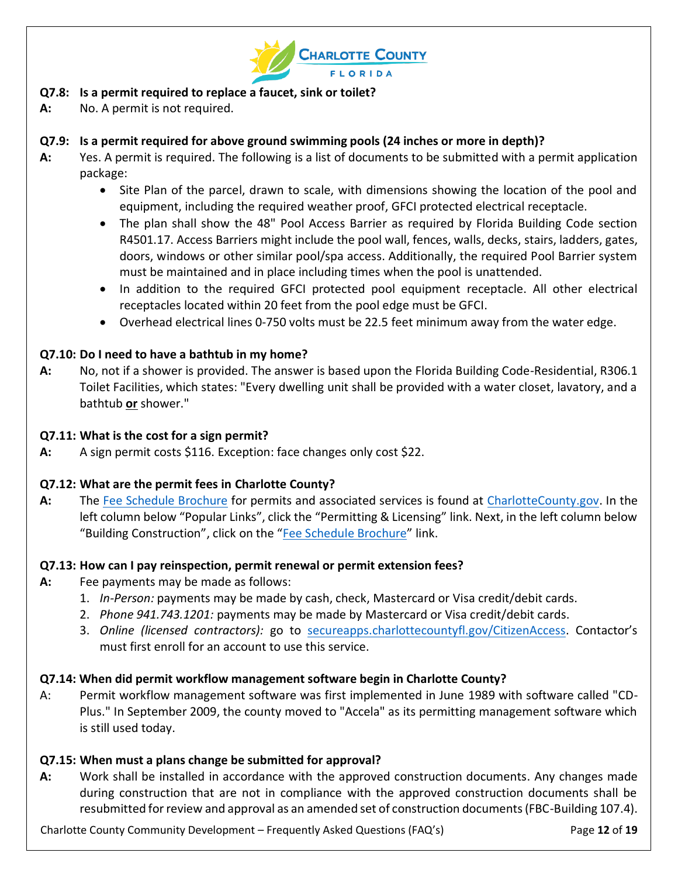

# **Q7.8: Is a permit required to replace a faucet, sink or toilet?**

**A:** No. A permit is not required.

# **Q7.9: Is a permit required for above ground swimming pools (24 inches or more in depth)?**

- **A:** Yes. A permit is required. The following is a list of documents to be submitted with a permit application package:
	- Site Plan of the parcel, drawn to scale, with dimensions showing the location of the pool and equipment, including the required weather proof, GFCI protected electrical receptacle.
	- The plan shall show the 48" Pool Access Barrier as required by Florida Building Code section R4501.17. Access Barriers might include the pool wall, fences, walls, decks, stairs, ladders, gates, doors, windows or other similar pool/spa access. Additionally, the required Pool Barrier system must be maintained and in place including times when the pool is unattended.
	- In addition to the required GFCI protected pool equipment receptacle. All other electrical receptacles located within 20 feet from the pool edge must be GFCI.
	- Overhead electrical lines 0-750 volts must be 22.5 feet minimum away from the water edge.

# **Q7.10: Do I need to have a bathtub in my home?**

**A:** No, not if a shower is provided. The answer is based upon the Florida Building Code-Residential, R306.1 Toilet Facilities, which states: "Every dwelling unit shall be provided with a water closet, lavatory, and a bathtub **or** shower."

## **Q7.11: What is the cost for a sign permit?**

**A:** A sign permit costs \$116. Exception: face changes only cost \$22.

# **Q7.12: What are the permit fees in Charlotte County?**

**A:** The [Fee Schedule Brochure](/services/buildingconstruction/Documents/Fee-Schedule-Brochure.pdf) for permits and associated services is found at [CharlotteCounty.gov.](http://www.charlottecounty.gov/) In the left column below "Popular Links", click the "Permitting & Licensing" link. Next, in the left column below "Building Construction", click on the "[Fee Schedule Brochure](/services/buildingconstruction/Documents/Fee-Schedule-Brochure.pdf)" link.

# **Q7.13: How can I pay reinspection, permit renewal or permit extension fees?**

- **A:** Fee payments may be made as follows:
	- 1. *In-Person:* payments may be made by cash, check, Mastercard or Visa credit/debit cards.
	- 2. *Phone 941.743.1201:* payments may be made by Mastercard or Visa credit/debit cards.
	- 3. *Online (licensed contractors):* go to [secureapps.charlottecountyfl.gov/CitizenAccess](https://secureapps.charlottecountyfl.gov/CitizenAccess). Contactor's must first enroll for an account to use this service.

# **Q7.14: When did permit workflow management software begin in Charlotte County?**

A: Permit workflow management software was first implemented in June 1989 with software called "CD-Plus." In September 2009, the county moved to "Accela" as its permitting management software which is still used today.

### **Q7.15: When must a plans change be submitted for approval?**

**A:** Work shall be installed in accordance with the approved construction documents. Any changes made during construction that are not in compliance with the approved construction documents shall be resubmitted for review and approval as an amended set of construction documents (FBC-Building 107.4).

Charlotte County Community Development – Frequently Asked Questions (FAQ's) Page **12** of **19**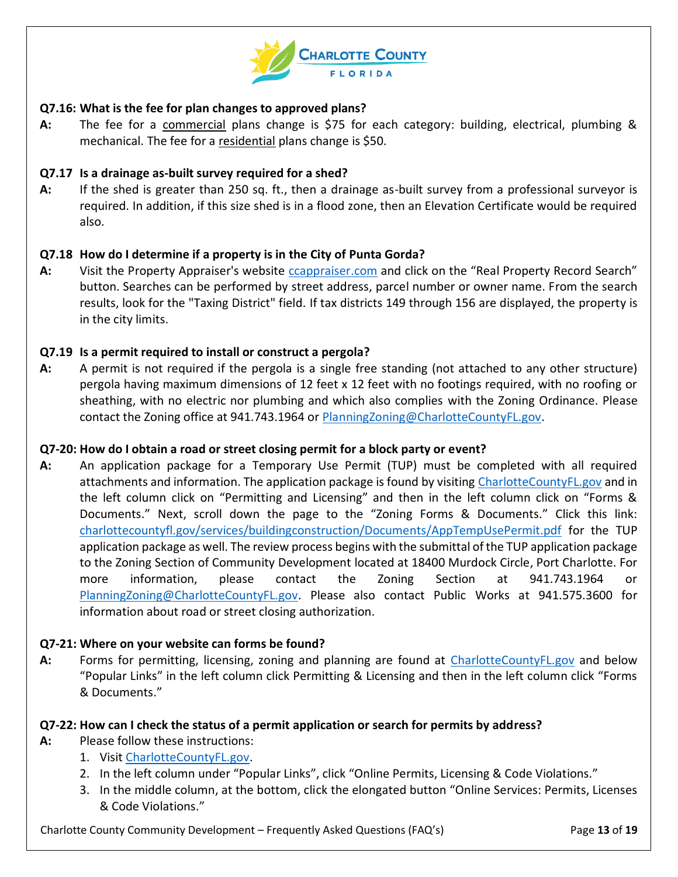

### **Q7.16: What is the fee for plan changes to approved plans?**

**A:** The fee for a commercial plans change is \$75 for each category: building, electrical, plumbing & mechanical. The fee for a residential plans change is \$50.

### **Q7.17 Is a drainage as-built survey required for a shed?**

**A:** If the shed is greater than 250 sq. ft., then a drainage as-built survey from a professional surveyor is required. In addition, if this size shed is in a flood zone, then an Elevation Certificate would be required also.

### **Q7.18 How do I determine if a property is in the City of Punta Gorda?**

**A:** Visit the Property Appraiser's website [ccappraiser.com](http://www.ccappraiser.com/) and click on the "Real Property Record Search" button. Searches can be performed by street address, parcel number or owner name. From the search results, look for the "Taxing District" field. If tax districts 149 through 156 are displayed, the property is in the city limits.

#### **Q7.19 Is a permit required to install or construct a pergola?**

**A:** A permit is not required if the pergola is a single free standing (not attached to any other structure) pergola having maximum dimensions of 12 feet x 12 feet with no footings required, with no roofing or sheathing, with no electric nor plumbing and which also complies with the Zoning Ordinance. Please contact the Zoning office at 941.743.1964 or [PlanningZoning@CharlotteCountyFL.gov.](mailto:PlanningZoning@CharlotteCountyFL.gov)

#### **Q7-20: How do I obtain a road or street closing permit for a block party or event?**

**A:** An application package for a Temporary Use Permit (TUP) must be completed with all required attachments and information. The application package is found by visiting [CharlotteCountyFL.gov](http://www.charlottecountyfl.gov/) and in the left column click on "Permitting and Licensing" and then in the left column click on "Forms & Documents." Next, scroll down the page to the "Zoning Forms & Documents." Click this link: [charlottecountyfl.gov/services/buildingconstruction/Documents/AppTempUsePermit.pdf](http://www.charlottecountyfl.gov/services/buildingconstruction/Documents/AppTempUsePermit.pdf) for the TUP application package as well. The review process begins with the submittal of the TUP application package to the Zoning Section of Community Development located at 18400 Murdock Circle, Port Charlotte. For more information, please contact the Zoning Section at 941.743.1964 or [PlanningZoning@CharlotteCountyFL.gov.](mailto:PlanningZoning@CharlotteCountyFL.gov) Please also contact Public Works at 941.575.3600 for information about road or street closing authorization.

#### **Q7-21: Where on your website can forms be found?**

**A:** Forms for permitting, licensing, zoning and planning are found at [CharlotteCountyFL.gov](http://www.charlottecountyfl.gov/) and below "Popular Links" in the left column click Permitting & Licensing and then in the left column click "Forms & Documents."

#### **Q7-22: How can I check the status of a permit application or search for permits by address?**

- **A:** Please follow these instructions:
	- 1. Visit [CharlotteCountyFL.gov.](http://www.charlottecountyfl.gov/)
	- 2. In the left column under "Popular Links", click "Online Permits, Licensing & Code Violations."
	- 3. In the middle column, at the bottom, click the elongated button "Online Services: Permits, Licenses & Code Violations."

Charlotte County Community Development – Frequently Asked Questions (FAQ's) Page **13** of **19**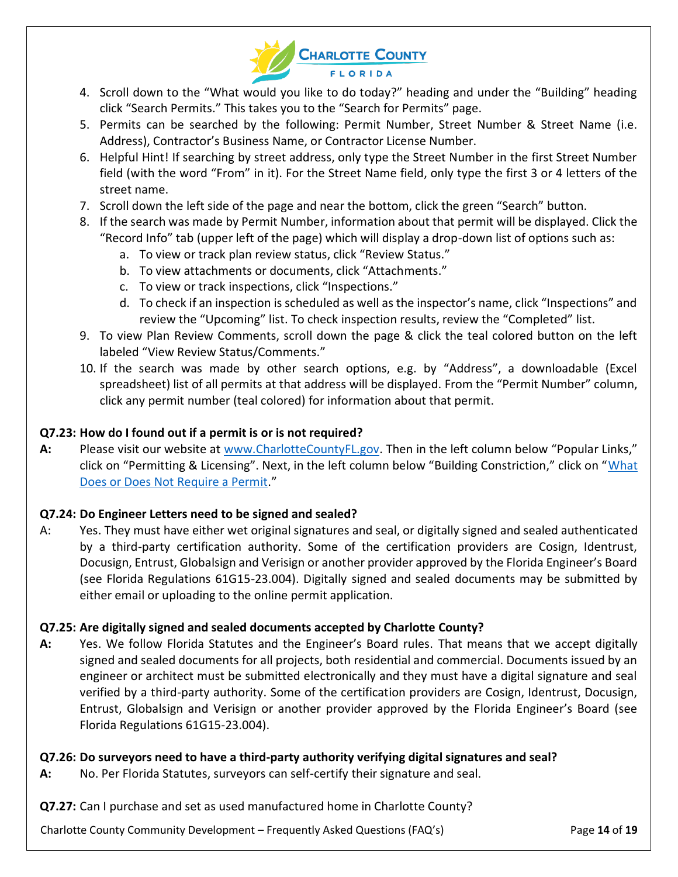

- 4. Scroll down to the "What would you like to do today?" heading and under the "Building" heading click "Search Permits." This takes you to the "Search for Permits" page.
- 5. Permits can be searched by the following: Permit Number, Street Number & Street Name (i.e. Address), Contractor's Business Name, or Contractor License Number.
- 6. Helpful Hint! If searching by street address, only type the Street Number in the first Street Number field (with the word "From" in it). For the Street Name field, only type the first 3 or 4 letters of the street name.
- 7. Scroll down the left side of the page and near the bottom, click the green "Search" button.
- 8. If the search was made by Permit Number, information about that permit will be displayed. Click the "Record Info" tab (upper left of the page) which will display a drop-down list of options such as:
	- a. To view or track plan review status, click "Review Status."
	- b. To view attachments or documents, click "Attachments."
	- c. To view or track inspections, click "Inspections."
	- d. To check if an inspection is scheduled as well as the inspector's name, click "Inspections" and review the "Upcoming" list. To check inspection results, review the "Completed" list.
- 9. To view Plan Review Comments, scroll down the page & click the teal colored button on the left labeled "View Review Status/Comments."
- 10. If the search was made by other search options, e.g. by "Address", a downloadable (Excel spreadsheet) list of all permits at that address will be displayed. From the "Permit Number" column, click any permit number (teal colored) for information about that permit.

# **Q7.23: How do I found out if a permit is or is not required?**

**A:** Please visit our website at [www.CharlotteCountyFL.gov](http://www.charlottecountyfl.gov/). Then in the left column below "Popular Links," click on "Permitting & Licensing". Next, in the left column below "Building Constriction," click on "[What](https://www.charlottecountyfl.gov/services/buildingconstruction/Pages/Who-What-Requires-a-Permit.aspx)  [Does or Does Not Require a Permit](https://www.charlottecountyfl.gov/services/buildingconstruction/Pages/Who-What-Requires-a-Permit.aspx)."

# **Q7.24: Do Engineer Letters need to be signed and sealed?**

A: Yes. They must have either wet original signatures and seal, or digitally signed and sealed authenticated by a third-party certification authority. Some of the certification providers are Cosign, Identrust, Docusign, Entrust, Globalsign and Verisign or another provider approved by the Florida Engineer's Board (see Florida Regulations 61G15-23.004). Digitally signed and sealed documents may be submitted by either email or uploading to the online permit application.

# **Q7.25: Are digitally signed and sealed documents accepted by Charlotte County?**

**A:** Yes. We follow Florida Statutes and the Engineer's Board rules. That means that we accept digitally signed and sealed documents for all projects, both residential and commercial. Documents issued by an engineer or architect must be submitted electronically and they must have a digital signature and seal verified by a third-party authority. Some of the certification providers are Cosign, Identrust, Docusign, Entrust, Globalsign and Verisign or another provider approved by the Florida Engineer's Board (see Florida Regulations 61G15-23.004).

# **Q7.26: Do surveyors need to have a third-party authority verifying digital signatures and seal?**

**A:** No. Per Florida Statutes, surveyors can self-certify their signature and seal.

**Q7.27:** Can I purchase and set as used manufactured home in Charlotte County?

Charlotte County Community Development – Frequently Asked Questions (FAQ's) Page **14** of **19**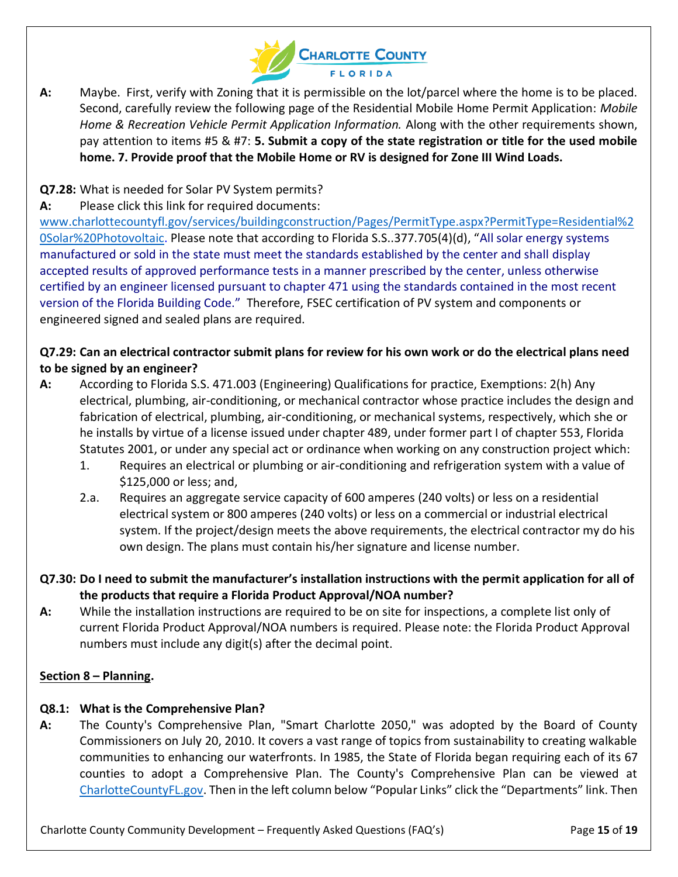

**A:** Maybe. First, verify with Zoning that it is permissible on the lot/parcel where the home is to be placed. Second, carefully review the following page of the Residential Mobile Home Permit Application: *Mobile Home & Recreation Vehicle Permit Application Information.* Along with the other requirements shown, pay attention to items #5 & #7: **5. Submit a copy of the state registration or title for the used mobile home. 7. Provide proof that the Mobile Home or RV is designed for Zone III Wind Loads.**

# **Q7.28:** What is needed for Solar PV System permits?

**A:** Please click this link for required documents:

[www.charlottecountyfl.gov/services/buildingconstruction/Pages/PermitType.aspx?PermitType=Residential%2](http://www.charlottecountyfl.gov/services/buildingconstruction/Pages/PermitType.aspx?PermitType=Residential%20Solar%20Photovoltaic) [0Solar%20Photovoltaic.](http://www.charlottecountyfl.gov/services/buildingconstruction/Pages/PermitType.aspx?PermitType=Residential%20Solar%20Photovoltaic) Please note that according to Florida S.S..377.705(4)(d), "All solar energy systems manufactured or sold in the state must meet the standards established by the center and shall display accepted results of approved performance tests in a manner prescribed by the center, unless otherwise certified by an engineer licensed pursuant to chapter 471 using the standards contained in the most recent version of the Florida Building Code." Therefore, FSEC certification of PV system and components or engineered signed and sealed plans are required.

# **Q7.29: Can an electrical contractor submit plans for review for his own work or do the electrical plans need to be signed by an engineer?**

- **A:** According to Florida S.S. 471.003 (Engineering) Qualifications for practice, Exemptions: 2(h) Any electrical, plumbing, air-conditioning, or mechanical contractor whose practice includes the design and fabrication of electrical, plumbing, air-conditioning, or mechanical systems, respectively, which she or he installs by virtue of a license issued under chapter 489, under former part I of chapter 553, Florida Statutes 2001, or under any special act or ordinance when working on any construction project which:
	- 1. Requires an electrical or plumbing or air-conditioning and refrigeration system with a value of \$125,000 or less; and,
	- 2.a. Requires an aggregate service capacity of 600 amperes (240 volts) or less on a residential electrical system or 800 amperes (240 volts) or less on a commercial or industrial electrical system. If the project/design meets the above requirements, the electrical contractor my do his own design. The plans must contain his/her signature and license number.
- **Q7.30: Do I need to submit the manufacturer's installation instructions with the permit application for all of the products that require a Florida Product Approval/NOA number?**
- **A:** While the installation instructions are required to be on site for inspections, a complete list only of current Florida Product Approval/NOA numbers is required. Please note: the Florida Product Approval numbers must include any digit(s) after the decimal point.

# <span id="page-14-0"></span>**Section 8 – Planning.**

### **Q8.1: What is the Comprehensive Plan?**

**A:** The County's Comprehensive Plan, "Smart Charlotte 2050," was adopted by the Board of County Commissioners on July 20, 2010. It covers a vast range of topics from sustainability to creating walkable communities to enhancing our waterfronts. In 1985, the State of Florida began requiring each of its 67 counties to adopt a Comprehensive Plan. The County's Comprehensive Plan can be viewed at [CharlotteCountyFL.gov](http://www.charlottecountyfl.gov/). Then in the left column below "Popular Links" click the "Departments" link. Then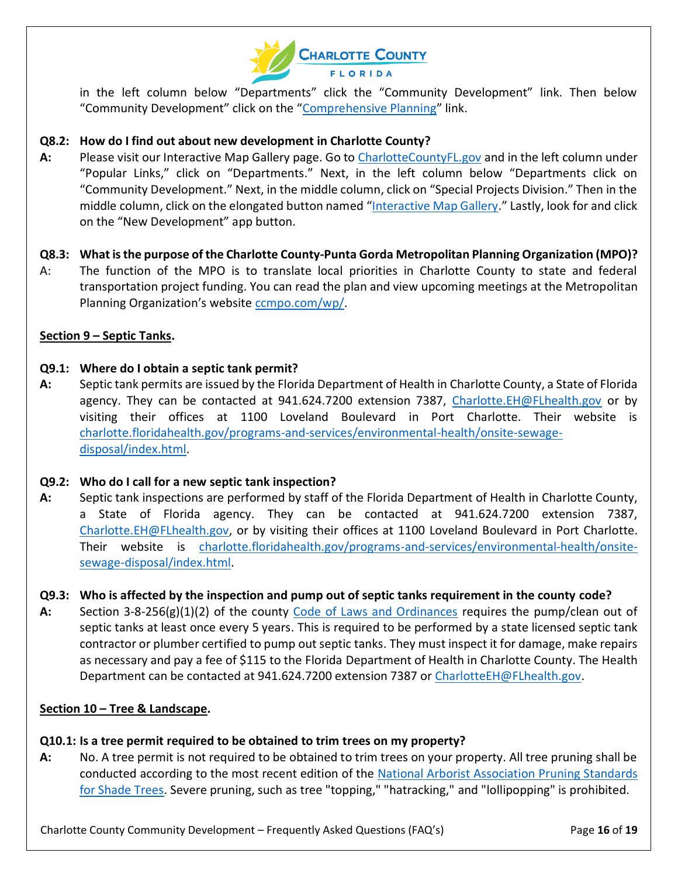

in the left column below "Departments" click the "Community Development" link. Then below "Community Development" click on the "[Comprehensive Planning](http://www.charlottecountyfl.gov/services/planningzoning/Pages/Comprehensive-Planning.aspx)" link.

### **Q8.2: How do I find out about new development in Charlotte County?**

- **A:** Please visit our Interactive Map Gallery page. Go to [CharlotteCountyFL.gov](http://www.charlottecountyfl.gov/) and in the left column under "Popular Links," click on "Departments." Next, in the left column below "Departments click on "Community Development." Next, in the middle column, click on "Special Projects Division." Then in the middle column, click on the elongated button named "[Interactive Map Gallery](http://www.charlottecountyfl.gov/services/landinformation/Pages/Interactive-Map-Gallery.aspx)." Lastly, look for and click on the "New Development" app button.
- **Q8.3: What is the purpose of the Charlotte County-Punta Gorda Metropolitan Planning Organization (MPO)?**
- A: The function of the MPO is to translate local priorities in Charlotte County to state and federal transportation project funding. You can read the plan and view upcoming meetings at the Metropolitan Planning Organization's website [ccmpo.com/wp/.](https://ccmpo.com/wp/)

### <span id="page-15-0"></span>**Section 9 – Septic Tanks.**

### **Q9.1: Where do I obtain a septic tank permit?**

**A:** Septic tank permits are issued by the Florida Department of Health in Charlotte County, a State of Florida agency. They can be contacted at 941.624.7200 extension 7387, [Charlotte.EH@FLhealth.gov](mailto:Charlotte.EH@FLhealth.gov) or by visiting their offices at 1100 Loveland Boulevard in Port Charlotte. Their website is [charlotte.floridahealth.gov/programs-and-services/environmental-health/onsite-sewage](http://charlotte.floridahealth.gov/programs-and-services/environmental-health/onsite-sewage-disposal/index.html)[disposal/index.html.](http://charlotte.floridahealth.gov/programs-and-services/environmental-health/onsite-sewage-disposal/index.html)

### **Q9.2: Who do I call for a new septic tank inspection?**

**A:** Septic tank inspections are performed by staff of the Florida Department of Health in Charlotte County, a State of Florida agency. They can be contacted at 941.624.7200 extension 7387, [Charlotte.EH@FLhealth.gov,](mailto:Charlotte.EH@FLhealth.gov) or by visiting their offices at 1100 Loveland Boulevard in Port Charlotte. Their website is [charlotte.floridahealth.gov/programs-and-services/environmental-health/onsite](http://charlotte.floridahealth.gov/programs-and-services/environmental-health/onsite-sewage-disposal/index.html)[sewage-disposal/index.html.](http://charlotte.floridahealth.gov/programs-and-services/environmental-health/onsite-sewage-disposal/index.html)

### **Q9.3: Who is affected by the inspection and pump out of septic tanks requirement in the county code?**

**A:** Section 3-8-256(g)(1)(2) of the county [Code of Laws and Ordinances](https://library.municode.com/fl/charlotte_county/codes/code_of_ordinances) requires the pump/clean out of septic tanks at least once every 5 years. This is required to be performed by a state licensed septic tank contractor or plumber certified to pump out septic tanks. They must inspect it for damage, make repairs as necessary and pay a fee of \$115 to the Florida Department of Health in Charlotte County. The Health Department can be contacted at 941.624.7200 extension 7387 or [CharlotteEH@FLhealth.gov.](mailto:CharlotteEH@FLhealth.gov)

### <span id="page-15-1"></span>**Section 10 – Tree & Landscape.**

### **Q10.1: Is a tree permit required to be obtained to trim trees on my property?**

**A:** No. A tree permit is not required to be obtained to trim trees on your property. All tree pruning shall be conducted according to the most recent edition of the [National Arborist Association Pruning Standards](https://www.bbtreenh.com/uploads/3/9/6/3/39636735/pruning-standards.pdf) [for Shade Trees.](https://www.bbtreenh.com/uploads/3/9/6/3/39636735/pruning-standards.pdf) Severe pruning, such as tree "topping," "hatracking," and "lollipopping" is prohibited.

Charlotte County Community Development – Frequently Asked Questions (FAQ's) Page **16** of **19**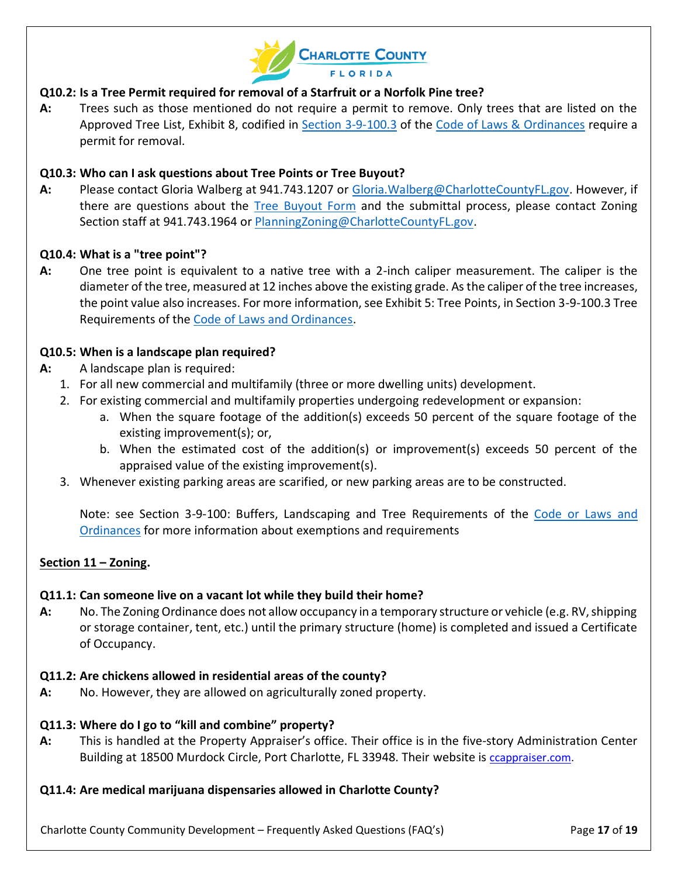

# **Q10.2: Is a Tree Permit required for removal of a Starfruit or a Norfolk Pine tree?**

**A:** Trees such as those mentioned do not require a permit to remove. Only trees that are listed on the Approved Tree List, Exhibit 8, codified in [Section 3-9-100.3](https://library.municode.com/fl/charlotte_county/codes/code_of_ordinances?nodeId=PTIIILADEGRMA_CH3-9ZO_ARTIVSIDESTRE_S3-9-100.3TRRE) of the [Code of Laws & Ordinances](https://library.municode.com/fl/charlotte_county/codes/code_of_ordinances) require a permit for removal.

### **Q10.3: Who can I ask questions about Tree Points or Tree Buyout?**

**A:** Please contact Gloria Walberg at 941.743.1207 or [Gloria.Walberg@CharlotteCountyFL.gov.](mailto:Gloria.Walberg@CharlotteCountyFL.gov) However, if there are questions about the [Tree Buyout Form](https://www.charlottecountyfl.gov/services/planningzoning/Documents/TreePointBuyOutForm.pdf) and the submittal process, please contact Zoning Section staff at 941.743.1964 or [PlanningZoning@CharlotteCountyFL.gov.](mailto:PlanningZoning@CharlotteCountyFL.gov)

### **Q10.4: What is a "tree point"?**

**A:** One tree point is equivalent to a native tree with a 2-inch caliper measurement. The caliper is the diameter of the tree, measured at 12 inches above the existing grade. As the caliper of the tree increases, the point value also increases. For more information, see Exhibit 5: Tree Points, in Section 3-9-100.3 Tree Requirements of the Code [of Laws and Ordinances.](https://library.municode.com/fl/charlotte_county/codes/code_of_ordinances)

#### **Q10.5: When is a landscape plan required?**

- **A:** A landscape plan is required:
	- 1. For all new commercial and multifamily (three or more dwelling units) development.
	- 2. For existing commercial and multifamily properties undergoing redevelopment or expansion:
		- a. When the square footage of the addition(s) exceeds 50 percent of the square footage of the existing improvement(s); or,
		- b. When the estimated cost of the addition(s) or improvement(s) exceeds 50 percent of the appraised value of the existing improvement(s).
	- 3. Whenever existing parking areas are scarified, or new parking areas are to be constructed.

Note: see Section 3-9-100: Buffers, Landscaping and Tree Requirements of the [Code or Laws and](https://library.municode.com/fl/charlotte_county/codes/code_of_ordinances)  [Ordinances](https://library.municode.com/fl/charlotte_county/codes/code_of_ordinances) for more information about exemptions and requirements

#### <span id="page-16-0"></span>**Section 11 – Zoning.**

#### **Q11.1: Can someone live on a vacant lot while they build their home?**

**A:** No. The Zoning Ordinance does not allow occupancy in a temporary structure or vehicle (e.g. RV, shipping or storage container, tent, etc.) until the primary structure (home) is completed and issued a Certificate of Occupancy.

#### **Q11.2: Are chickens allowed in residential areas of the county?**

**A:** No. However, they are allowed on agriculturally zoned property.

#### **Q11.3: Where do I go to "kill and combine" property?**

**A:** This is handled at the Property Appraiser's office. Their office is in the five-story Administration Center Building at 18500 Murdock Circle, Port Charlotte, FL 33948. Their website is [ccappraiser.com.](http://www.ccappraiser.com/default.aspx)

#### **Q11.4: Are medical marijuana dispensaries allowed in Charlotte County?**

Charlotte County Community Development – Frequently Asked Questions (FAQ's) Page **17** of **19**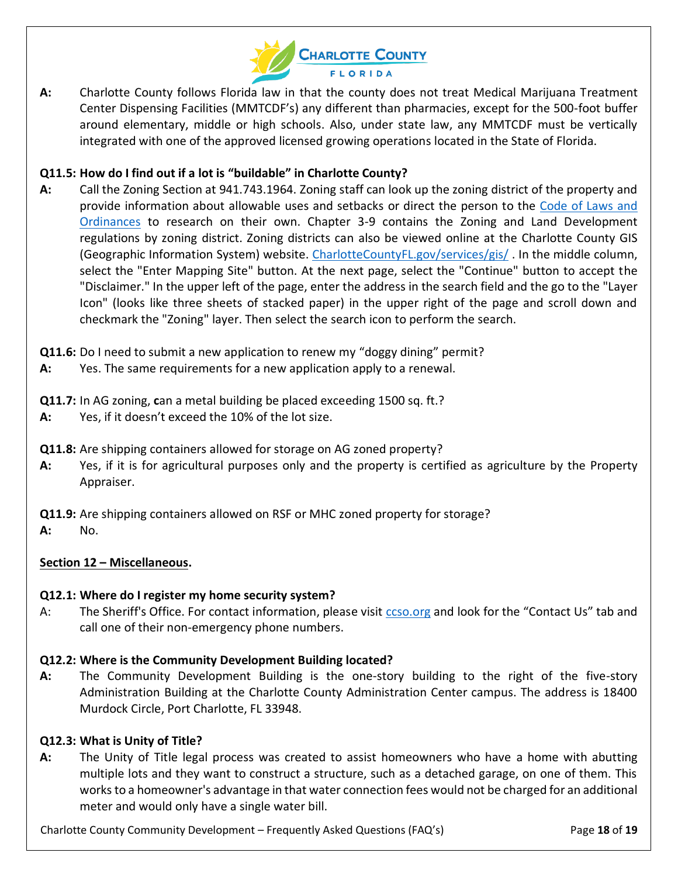

**A:** Charlotte County follows Florida law in that the county does not treat Medical Marijuana Treatment Center Dispensing Facilities (MMTCDF's) any different than pharmacies, except for the 500-foot buffer around elementary, middle or high schools. Also, under state law, any MMTCDF must be vertically integrated with one of the approved licensed growing operations located in the State of Florida.

## **Q11.5: How do I find out if a lot is "buildable" in Charlotte County?**

- **A:** Call the Zoning Section at 941.743.1964. Zoning staff can look up the zoning district of the property and provide information about allowable uses and setbacks or direct the person to the [Code of Laws and](https://library.municode.com/fl/charlotte_county/codes/code_of_ordinances)  [Ordinances](https://library.municode.com/fl/charlotte_county/codes/code_of_ordinances) to research on their own. Chapter 3-9 contains the Zoning and Land Development regulations by zoning district. Zoning districts can also be viewed online at the Charlotte County GIS (Geographic Information System) website. [CharlotteCountyFL.gov/services/gis/](http://www.charlottecountyfl.gov/services/gis/Pages/default.aspx) . In the middle column, select the "Enter Mapping Site" button. At the next page, select the "Continue" button to accept the "Disclaimer." In the upper left of the page, enter the address in the search field and the go to the "Layer Icon" (looks like three sheets of stacked paper) in the upper right of the page and scroll down and checkmark the "Zoning" layer. Then select the search icon to perform the search.
- **Q11.6:** Do I need to submit a new application to renew my "doggy dining" permit?
- **A:** Yes. The same requirements for a new application apply to a renewal.
- **Q11.7:** In AG zoning, **c**an a metal building be placed exceeding 1500 sq. ft.?
- **A:** Yes, if it doesn't exceed the 10% of the lot size.
- **Q11.8:** Are shipping containers allowed for storage on AG zoned property?
- **A:** Yes, if it is for agricultural purposes only and the property is certified as agriculture by the Property Appraiser.

**Q11.9:** Are shipping containers allowed on RSF or MHC zoned property for storage?

**A:** No.

# <span id="page-17-0"></span>**Section 12 – Miscellaneous.**

### **Q12.1: Where do I register my home security system?**

A: The Sheriff's Office. For contact information, please visit [ccso.org](http://www.ccso.org/) and look for the "Contact Us" tab and call one of their non-emergency phone numbers.

### **Q12.2: Where is the Community Development Building located?**

**A:** The Community Development Building is the one-story building to the right of the five-story Administration Building at the Charlotte County Administration Center campus. The address is 18400 Murdock Circle, Port Charlotte, FL 33948.

### **Q12.3: What is Unity of Title?**

**A:** The Unity of Title legal process was created to assist homeowners who have a home with abutting multiple lots and they want to construct a structure, such as a detached garage, on one of them. This works to a homeowner's advantage in that water connection fees would not be charged for an additional meter and would only have a single water bill.

Charlotte County Community Development – Frequently Asked Questions (FAQ's) Page **18** of **19**